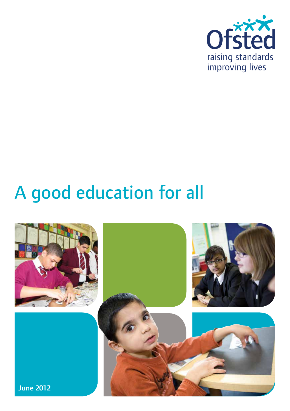

# A good education for all

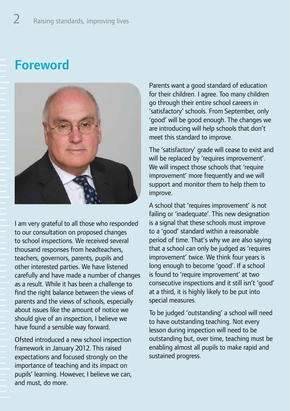## **Foreword**



I am very grateful to all those who responded to our consultation on proposed changes to school inspections. We received several thousand responses from headteachers, teachers, governors, parents, pupils and other interested parties. We have listened carefully and have made a number of changes as a result. While it has been a challenge to find the right balance between the views of parents and the views of schools, especially about issues like the amount of notice we should give of an inspection, I believe we have found a sensible way forward.

Ofsted introduced a new school inspection framework in January 2012. This raised expectations and focused strongly on the importance of teaching and its impact on pupils' learning. However, I believe we can, and must, do more.

Parents want a good standard of education for their children. I agree. Too many children go through their entire school careers in 'satisfactory' schools. From September, only 'good' will be good enough. The changes we are introducing will help schools that don't meet this standard to improve.

The 'satisfactory' grade will cease to exist and will be replaced by 'requires improvement'. We will inspect those schools that 'require improvement' more frequently and we will support and monitor them to help them to improve.

A school that 'requires improvement' is not failing or 'inadequate'. This new designation is a signal that these schools must improve to a 'good' standard within a reasonable period of time. That's why we are also saying that a school can only be judged as 'requires improvement' twice. We think four years is long enough to become 'good'. If a school is found to 'require improvement' at two consecutive inspections and it still isn't 'good' at a third, it is highly likely to be put into special measures.

To be judged 'outstanding' a school will need to have outstanding teaching. Not every lesson during inspection will need to be outstanding but, over time, teaching must be enabling almost all pupils to make rapid and sustained progress.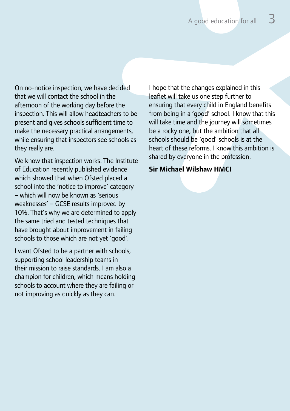On no-notice inspection, we have decided that we will contact the school in the afternoon of the working day before the inspection. This will allow headteachers to be present and gives schools sufficient time to make the necessary practical arrangements, while ensuring that inspectors see schools as they really are.

We know that inspection works. The Institute of Education recently published evidence which showed that when Ofsted placed a school into the 'notice to improve' category – which will now be known as 'serious weaknesses' – GCSE results improved by 10%. That's why we are determined to apply the same tried and tested techniques that have brought about improvement in failing schools to those which are not yet 'good'.

I want Ofsted to be a partner with schools, supporting school leadership teams in their mission to raise standards. I am also a champion for children, which means holding schools to account where they are failing or not improving as quickly as they can.

I hope that the changes explained in this leaflet will take us one step further to ensuring that every child in England benefits from being in a 'good' school. I know that this will take time and the journey will sometimes be a rocky one, but the ambition that all schools should be 'good' schools is at the heart of these reforms. I know this ambition is shared by everyone in the profession.

#### **Sir Michael Wilshaw HMCI**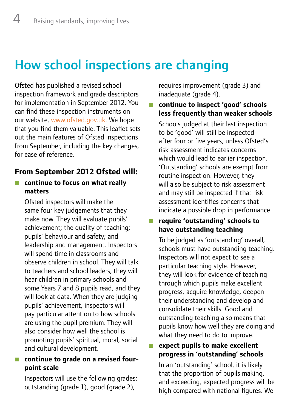## How school inspections are changing

Ofsted has published a revised school inspection framework and grade descriptors for implementation in September 2012. You can find these inspection instruments on our website, www.ofsted.gov.uk. We hope that you find them valuable. This leaflet sets out the main features of Ofsted inspections from September, including the key changes, for ease of reference.

#### **From September 2012 Ofsted will:**

#### **n** continue to focus on what really **matters**

Ofsted inspectors will make the same four key judgements that they make now. They will evaluate pupils' achievement; the quality of teaching; pupils' behaviour and safety; and leadership and management. Inspectors will spend time in classrooms and observe children in school. They will talk to teachers and school leaders, they will hear children in primary schools and some Years 7 and 8 pupils read, and they will look at data. When they are judging pupils' achievement, inspectors will pay particular attention to how schools are using the pupil premium. They will also consider how well the school is promoting pupils' spiritual, moral, social and cultural development.

#### **n** continue to grade on a revised four**point scale**

Inspectors will use the following grades: outstanding (grade 1), good (grade 2),

requires improvement (grade 3) and inadequate (grade 4).

#### Q **continue to inspect 'good' schools less frequently than weaker schools**

Schools judged at their last inspection to be 'good' will still be inspected after four or five years, unless Ofsted's risk assessment indicates concerns which would lead to earlier inspection. 'Outstanding' schools are exempt from routine inspection. However, they will also be subject to risk assessment and may still be inspected if that risk assessment identifies concerns that indicate a possible drop in performance.

#### ■ require 'outstanding' schools to **have outstanding teaching**

To be judged as 'outstanding' overall, schools must have outstanding teaching. Inspectors will not expect to see a particular teaching style. However, they will look for evidence of teaching through which pupils make excellent progress, acquire knowledge, deepen their understanding and develop and consolidate their skills. Good and outstanding teaching also means that pupils know how well they are doing and what they need to do to improve.

#### Q **expect pupils to make excellent progress in 'outstanding' schools**

In an 'outstanding' school, it is likely that the proportion of pupils making, and exceeding, expected progress will be high compared with national figures. We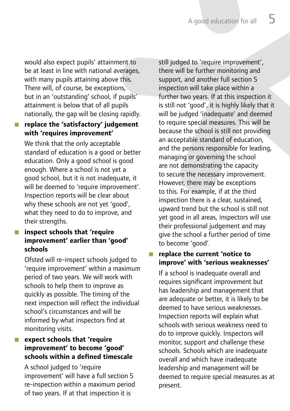would also expect pupils' attainment to be at least in line with national averages, with many pupils attaining above this. There will, of course, be exceptions, but in an 'outstanding' school, if pupils' attainment is below that of all pupils nationally, the gap will be closing rapidly.

#### ■ replace the 'satisfactory' judgement **with 'requires improvement'**

We think that the only acceptable standard of education is a good or better education. Only a good school is good enough. Where a school is not yet a good school, but it is not inadequate, it will be deemed to 'require improvement'. Inspection reports will be clear about why these schools are not yet 'good', what they need to do to improve, and their strengths.

#### ■ inspect schools that 'require **improvement' earlier than 'good' schools**

Ofsted will re-inspect schools judged to 'require improvement' within a maximum period of two years. We will work with schools to help them to improve as quickly as possible. The timing of the next inspection will reflect the individual school's circumstances and will be informed by what inspectors find at monitoring visits.

#### **E** expect schools that 'require **improvement' to become 'good' schools within a defined timescale**

A school judged to 'require improvement' will have a full section 5 re-inspection within a maximum period of two years. If at that inspection it is

still judged to 'require improvement', there will be further monitoring and support, and another full section 5 inspection will take place within a further two years. If at this inspection it is still not 'good', it is highly likely that it will be judged 'inadequate' and deemed to require special measures. This will be because the school is still not providing an acceptable standard of education, and the persons responsible for leading, managing or governing the school are not demonstrating the capacity to secure the necessary improvement. However, there may be exceptions to this. For example, if at the third inspection there is a clear, sustained, upward trend but the school is still not yet good in all areas, inspectors will use their professional judgement and may give the school a further period of time to become 'good'.

#### Q **replace the current 'notice to improve' with 'serious weaknesses'**

If a school is inadequate overall and requires significant improvement but has leadership and management that are adequate or better, it is likely to be deemed to have serious weaknesses. Inspection reports will explain what schools with serious weakness need to do to improve quickly. Inspectors will monitor, support and challenge these schools. Schools which are inadequate overall and which have inadequate leadership and management will be deemed to require special measures as at present.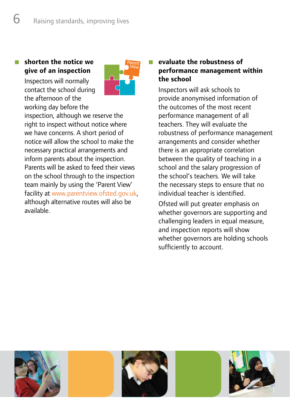#### Q **shorten the notice we give of an inspection**

Inspectors will normally contact the school during the afternoon of the working day before the



inspection, although we reserve the right to inspect without notice where we have concerns. A short period of notice will allow the school to make the necessary practical arrangements and inform parents about the inspection. Parents will be asked to feed their views on the school through to the inspection team mainly by using the 'Parent View' facility at www.parentview.ofsted.gov.uk, although alternative routes will also be available.

#### Q **evaluate the robustness of performance management within the school**

Inspectors will ask schools to provide anonymised information of the outcomes of the most recent performance management of all teachers. They will evaluate the robustness of performance management arrangements and consider whether there is an appropriate correlation between the quality of teaching in a school and the salary progression of the school's teachers. We will take the necessary steps to ensure that no individual teacher is identified.

Ofsted will put greater emphasis on whether governors are supporting and challenging leaders in equal measure, and inspection reports will show whether governors are holding schools sufficiently to account.

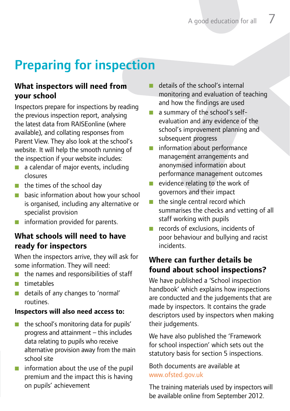## Preparing for inspection

#### **What inspectors will need from your school**

Inspectors prepare for inspections by reading the previous inspection report, analysing the latest data from RAISEonline (where available), and collating responses from Parent View. They also look at the school's website. It will help the smooth running of the inspection if your website includes:

- $\blacksquare$  a calendar of major events, including closures
- $\blacksquare$  the times of the school day
- **D** basic information about how your school is organised, including any alternative or specialist provision
- $\blacksquare$  information provided for parents.

#### **What schools will need to have ready for inspectors**

When the inspectors arrive, they will ask for some information. They will need:

- $\blacksquare$  the names and responsibilities of staff
- $\blacksquare$  timetables
- details of any changes to 'normal' routines.

#### **Inspectors will also need access to:**

- $\blacksquare$  the school's monitoring data for pupils' progress and attainment – this includes data relating to pupils who receive alternative provision away from the main school site
- $\blacksquare$  information about the use of the pupil premium and the impact this is having on pupils' achievement
- details of the school's internal monitoring and evaluation of teaching and how the findings are used
- $\blacksquare$  a summary of the school's selfevaluation and any evidence of the school's improvement planning and subsequent progress
- **n** information about performance management arrangements and anonymised information about performance management outcomes
- $\blacksquare$  evidence relating to the work of governors and their impact
- $\blacksquare$  the single central record which summarises the checks and vetting of all staff working with pupils
- records of exclusions, incidents of poor behaviour and bullying and racist incidents.

#### **Where can further details be found about school inspections?**

We have published a 'School inspection handbook' which explains how inspections are conducted and the judgements that are made by inspectors. It contains the grade descriptors used by inspectors when making their judgements.

We have also published the 'Framework for school inspection' which sets out the statutory basis for section 5 inspections.

Both documents are available at www.ofsted.gov.uk

The training materials used by inspectors will be available online from September 2012.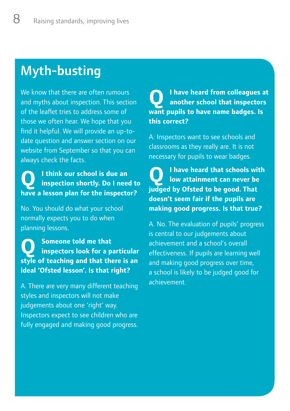## Myth-busting

We know that there are often rumours and myths about inspection. This section of the leaflet tries to address some of those we often hear. We hope that you find it helpful. We will provide an up-todate question and answer section on our website from September so that you can always check the facts.

**Q I think our school is due an inspection shortly. Do I need to have a lesson plan for the inspector?**

No. You should do what your school normally expects you to do when planning lessons.

**Q Someone told me that inspectors look for a particular style of teaching and that there is an ideal 'Ofsted lesson'. Is that right?**

A. There are very many different teaching styles and inspectors will not make judgements about one 'right' way. Inspectors expect to see children who are fully engaged and making good progress.

### **Q I have heard from colleagues at another school that inspectors want pupils to have name badges. Is this correct?**

A: Inspectors want to see schools and classrooms as they really are. It is not necessary for pupils to wear badges.

**Q I have heard that schools with low attainment can never be judged by Ofsted to be good. That doesn't seem fair if the pupils are making good progress. Is that true?**

A. No. The evaluation of pupils' progress is central to our judgements about achievement and a school's overall effectiveness. If pupils are learning well and making good progress over time, a school is likely to be judged good for achievement.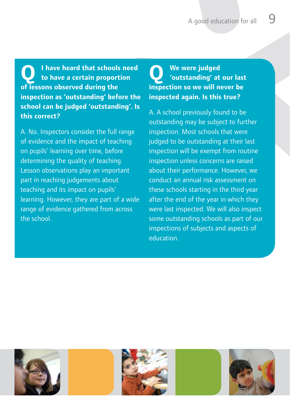**Q I have heard that schools need to have a certain proportion of lessons observed during the inspection as 'outstanding' before the school can be judged 'outstanding'. Is this correct?**

A. No. Inspectors consider the full range of evidence and the impact of teaching on pupils' learning over time, before determining the quality of teaching. Lesson observations play an important part in reaching judgements about teaching and its impact on pupils' learning. However, they are part of a wide range of evidence gathered from across the school.

### **Q We were judged 'outstanding' at our last inspection so we will never be inspected again. Is this true?**

A. A school previously found to be outstanding may be subject to further inspection. Most schools that were judged to be outstanding at their last inspection will be exempt from routine inspection unless concerns are raised about their performance. However, we conduct an annual risk assessment on these schools starting in the third year after the end of the year in which they were last inspected. We will also inspect some outstanding schools as part of our inspections of subjects and aspects of education.

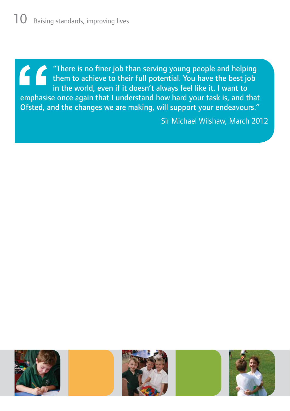"There is no finer job than serving young people and helping them to achieve to their full potential. You have the best job in the world, even if it doesn't always feel like it. I want to emphasise once again that I understand how hard your task is, and that Ofsted, and the changes we are making, will support your endeavours."

Sir Michael Wilshaw, March 2012

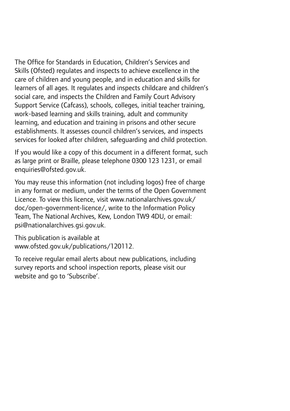The Office for Standards in Education, Children's Services and Skills (Ofsted) regulates and inspects to achieve excellence in the care of children and young people, and in education and skills for learners of all ages. It regulates and inspects childcare and children's social care, and inspects the Children and Family Court Advisory Support Service (Cafcass), schools, colleges, initial teacher training, work-based learning and skills training, adult and community learning, and education and training in prisons and other secure establishments. It assesses council children's services, and inspects services for looked after children, safeguarding and child protection.

If you would like a copy of this document in a different format, such as large print or Braille, please telephone 0300 123 1231, or email enquiries@ofsted.gov.uk.

You may reuse this information (not including logos) free of charge in any format or medium, under the terms of the Open Government Licence. To view this licence, visit www.nationalarchives.gov.uk/ doc/open-government-licence/, write to the Information Policy Team, The National Archives, Kew, London TW9 4DU, or email: psi@nationalarchives.gsi.gov.uk.

This publication is available at www.ofsted.gov.uk/publications/120112.

To receive regular email alerts about new publications, including survey reports and school inspection reports, please visit our website and go to 'Subscribe'.